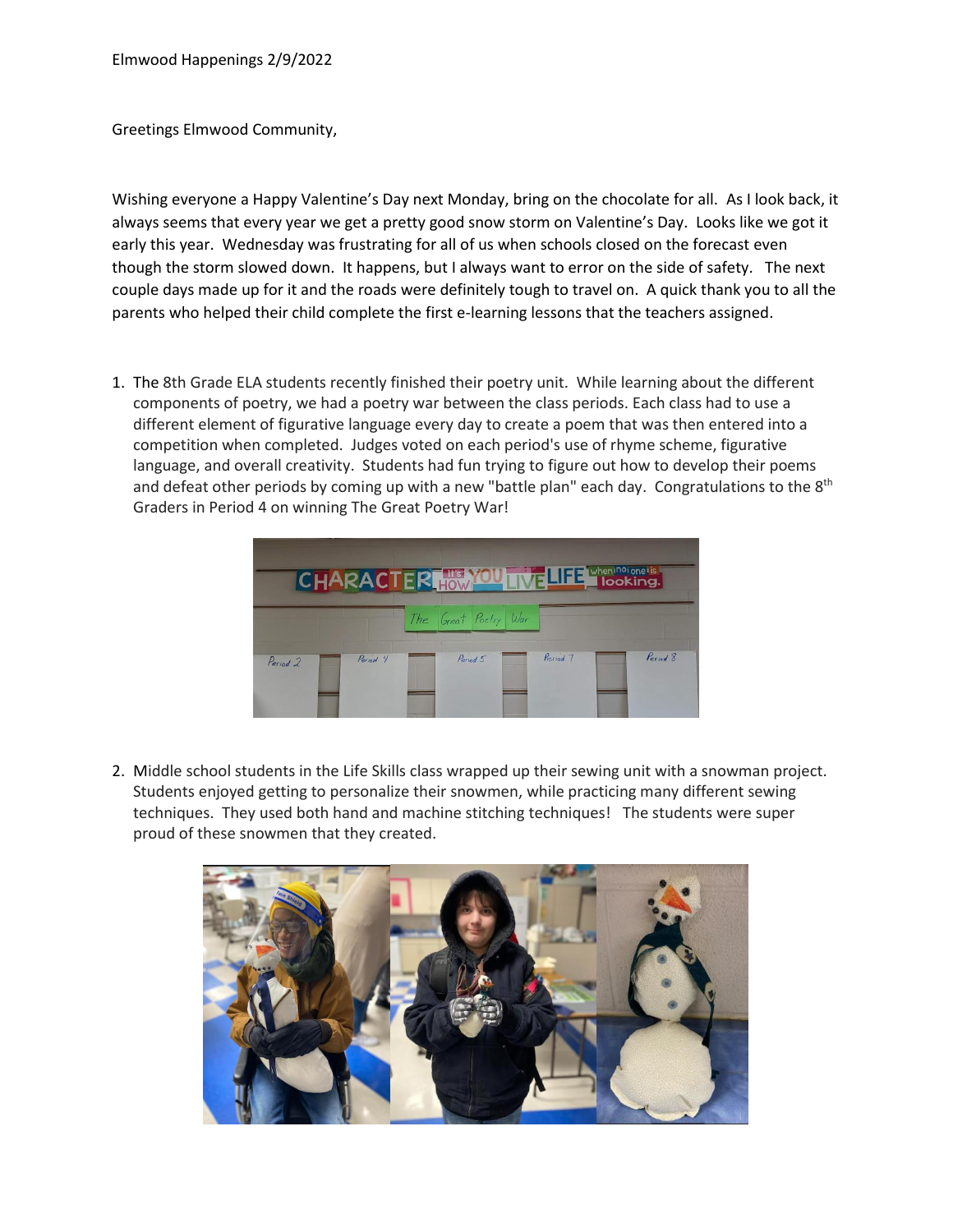Greetings Elmwood Community,

Wishing everyone a Happy Valentine's Day next Monday, bring on the chocolate for all. As I look back, it always seems that every year we get a pretty good snow storm on Valentine's Day. Looks like we got it early this year. Wednesday was frustrating for all of us when schools closed on the forecast even though the storm slowed down. It happens, but I always want to error on the side of safety. The next couple days made up for it and the roads were definitely tough to travel on. A quick thank you to all the parents who helped their child complete the first e-learning lessons that the teachers assigned.

1. The 8th Grade ELA students recently finished their poetry unit. While learning about the different components of poetry, we had a poetry war between the class periods. Each class had to use a different element of figurative language every day to create a poem that was then entered into a competition when completed. Judges voted on each period's use of rhyme scheme, figurative language, and overall creativity. Students had fun trying to figure out how to develop their poems and defeat other periods by coming up with a new "battle plan" each day. Congratulations to the 8<sup>th</sup> Graders in Period 4 on winning The Great Poetry War!

|                                 |                      | CHARACTER HOW TVE LIFE I LOOKing. |          |
|---------------------------------|----------------------|-----------------------------------|----------|
|                                 | The Great Poetry War |                                   |          |
| Period 4<br>Period <sub>2</sub> | Period 5             | Period 7                          | Period 8 |

2. Middle school students in the Life Skills class wrapped up their sewing unit with a snowman project. Students enjoyed getting to personalize their snowmen, while practicing many different sewing techniques. They used both hand and machine stitching techniques! The students were super proud of these snowmen that they created.